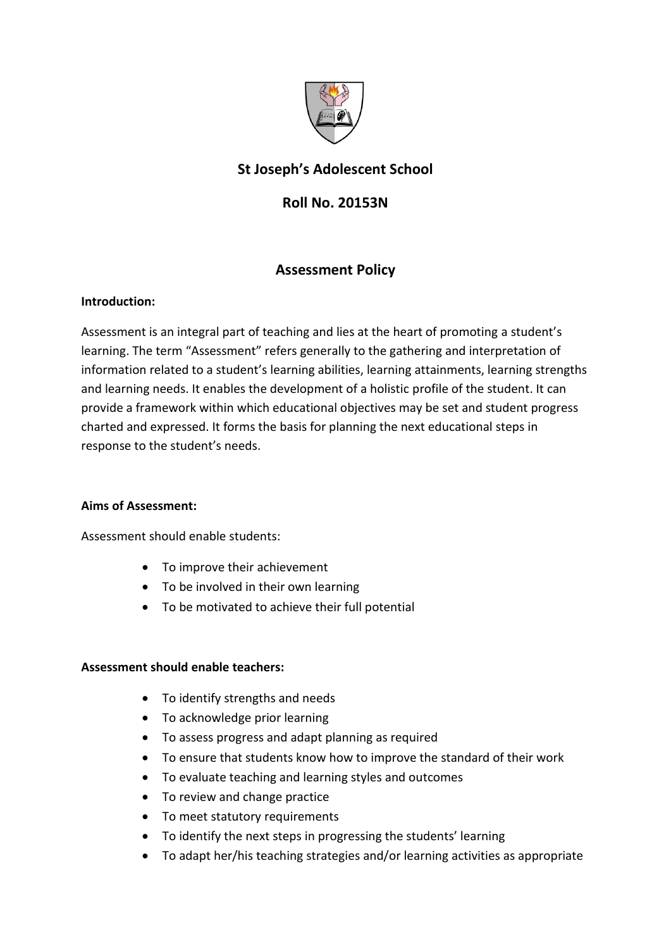

# **St Joseph's Adolescent School**

## **Roll No. 20153N**

## **Assessment Policy**

### **Introduction:**

Assessment is an integral part of teaching and lies at the heart of promoting a student's learning. The term "Assessment" refers generally to the gathering and interpretation of information related to a student's learning abilities, learning attainments, learning strengths and learning needs. It enables the development of a holistic profile of the student. It can provide a framework within which educational objectives may be set and student progress charted and expressed. It forms the basis for planning the next educational steps in response to the student's needs.

### **Aims of Assessment:**

Assessment should enable students:

- To improve their achievement
- To be involved in their own learning
- To be motivated to achieve their full potential

### **Assessment should enable teachers:**

- To identify strengths and needs
- To acknowledge prior learning
- To assess progress and adapt planning as required
- To ensure that students know how to improve the standard of their work
- To evaluate teaching and learning styles and outcomes
- To review and change practice
- To meet statutory requirements
- To identify the next steps in progressing the students' learning
- To adapt her/his teaching strategies and/or learning activities as appropriate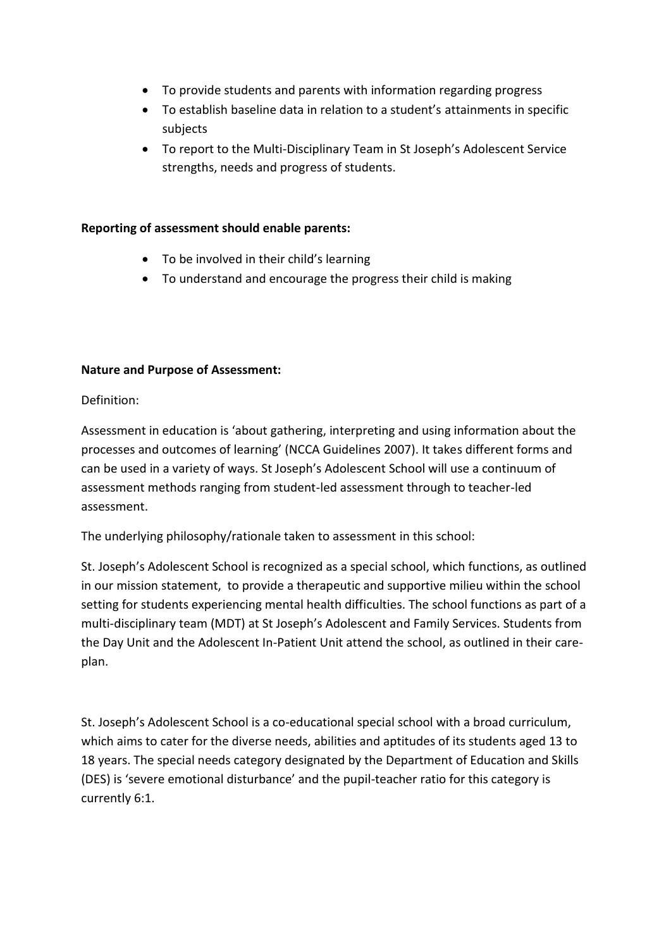- To provide students and parents with information regarding progress
- To establish baseline data in relation to a student's attainments in specific subjects
- To report to the Multi-Disciplinary Team in St Joseph's Adolescent Service strengths, needs and progress of students.

#### **Reporting of assessment should enable parents:**

- To be involved in their child's learning
- To understand and encourage the progress their child is making

#### **Nature and Purpose of Assessment:**

Definition:

Assessment in education is 'about gathering, interpreting and using information about the processes and outcomes of learning' (NCCA Guidelines 2007). It takes different forms and can be used in a variety of ways. St Joseph's Adolescent School will use a continuum of assessment methods ranging from student-led assessment through to teacher-led assessment.

The underlying philosophy/rationale taken to assessment in this school:

St. Joseph's Adolescent School is recognized as a special school, which functions, as outlined in our mission statement, to provide a therapeutic and supportive milieu within the school setting for students experiencing mental health difficulties. The school functions as part of a multi-disciplinary team (MDT) at St Joseph's Adolescent and Family Services. Students from the Day Unit and the Adolescent In-Patient Unit attend the school, as outlined in their careplan.

St. Joseph's Adolescent School is a co-educational special school with a broad curriculum, which aims to cater for the diverse needs, abilities and aptitudes of its students aged 13 to 18 years. The special needs category designated by the Department of Education and Skills (DES) is 'severe emotional disturbance' and the pupil-teacher ratio for this category is currently 6:1.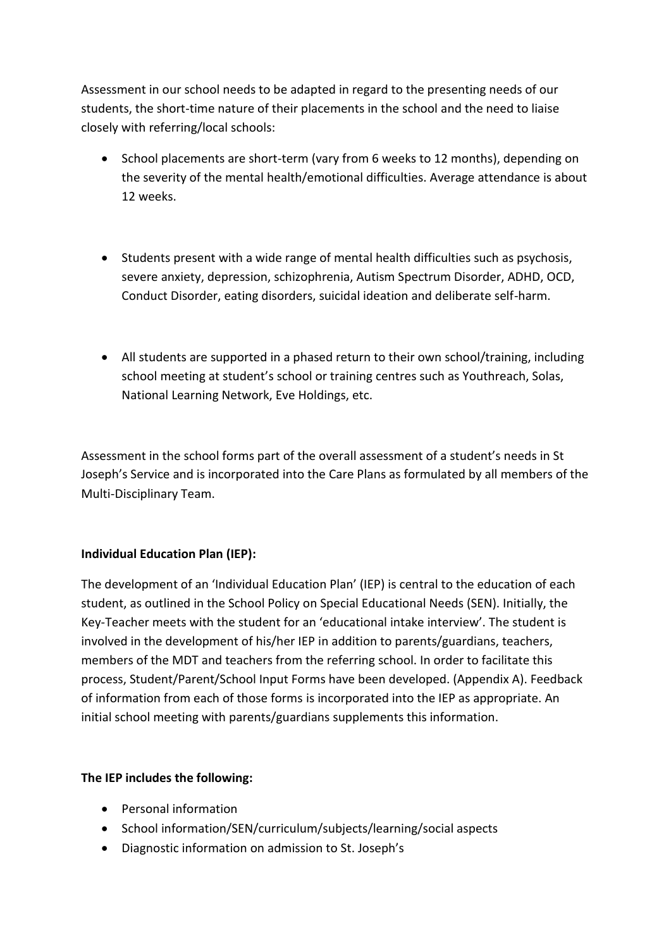Assessment in our school needs to be adapted in regard to the presenting needs of our students, the short-time nature of their placements in the school and the need to liaise closely with referring/local schools:

- School placements are short-term (vary from 6 weeks to 12 months), depending on the severity of the mental health/emotional difficulties. Average attendance is about 12 weeks.
- Students present with a wide range of mental health difficulties such as psychosis, severe anxiety, depression, schizophrenia, Autism Spectrum Disorder, ADHD, OCD, Conduct Disorder, eating disorders, suicidal ideation and deliberate self-harm.
- All students are supported in a phased return to their own school/training, including school meeting at student's school or training centres such as Youthreach, Solas, National Learning Network, Eve Holdings, etc.

Assessment in the school forms part of the overall assessment of a student's needs in St Joseph's Service and is incorporated into the Care Plans as formulated by all members of the Multi-Disciplinary Team.

### **Individual Education Plan (IEP):**

The development of an 'Individual Education Plan' (IEP) is central to the education of each student, as outlined in the School Policy on Special Educational Needs (SEN). Initially, the Key-Teacher meets with the student for an 'educational intake interview'. The student is involved in the development of his/her IEP in addition to parents/guardians, teachers, members of the MDT and teachers from the referring school. In order to facilitate this process, Student/Parent/School Input Forms have been developed. (Appendix A). Feedback of information from each of those forms is incorporated into the IEP as appropriate. An initial school meeting with parents/guardians supplements this information.

### **The IEP includes the following:**

- Personal information
- School information/SEN/curriculum/subjects/learning/social aspects
- Diagnostic information on admission to St. Joseph's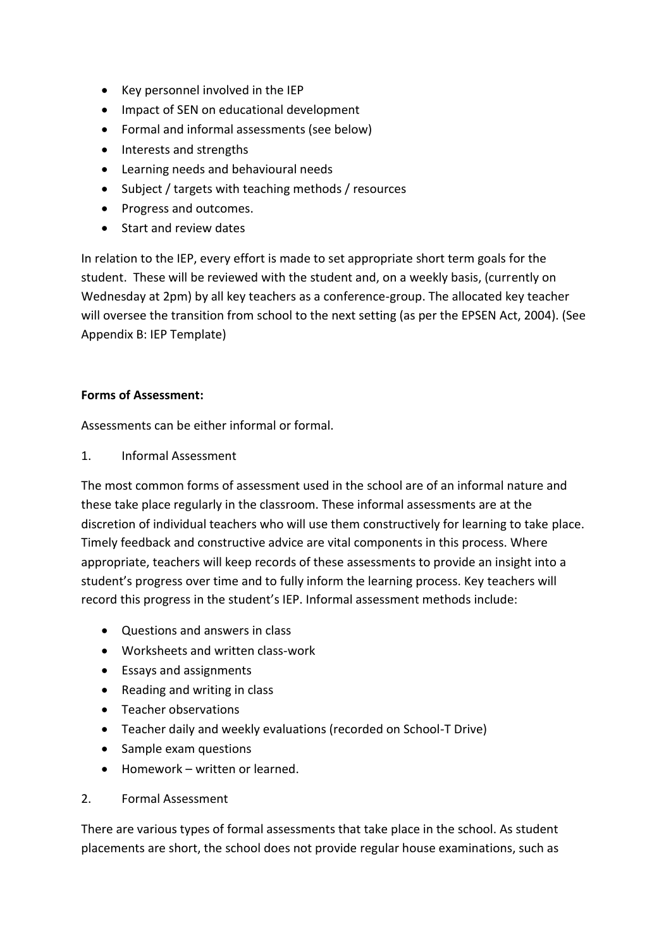- Key personnel involved in the IEP
- Impact of SEN on educational development
- Formal and informal assessments (see below)
- Interests and strengths
- Learning needs and behavioural needs
- Subject / targets with teaching methods / resources
- Progress and outcomes.
- Start and review dates

In relation to the IEP, every effort is made to set appropriate short term goals for the student. These will be reviewed with the student and, on a weekly basis, (currently on Wednesday at 2pm) by all key teachers as a conference-group. The allocated key teacher will oversee the transition from school to the next setting (as per the EPSEN Act, 2004). (See Appendix B: IEP Template)

#### **Forms of Assessment:**

Assessments can be either informal or formal.

1. Informal Assessment

The most common forms of assessment used in the school are of an informal nature and these take place regularly in the classroom. These informal assessments are at the discretion of individual teachers who will use them constructively for learning to take place. Timely feedback and constructive advice are vital components in this process. Where appropriate, teachers will keep records of these assessments to provide an insight into a student's progress over time and to fully inform the learning process. Key teachers will record this progress in the student's IEP. Informal assessment methods include:

- Questions and answers in class
- Worksheets and written class-work
- Essays and assignments
- Reading and writing in class
- Teacher observations
- Teacher daily and weekly evaluations (recorded on School-T Drive)
- Sample exam questions
- Homework written or learned.

#### 2. Formal Assessment

There are various types of formal assessments that take place in the school. As student placements are short, the school does not provide regular house examinations, such as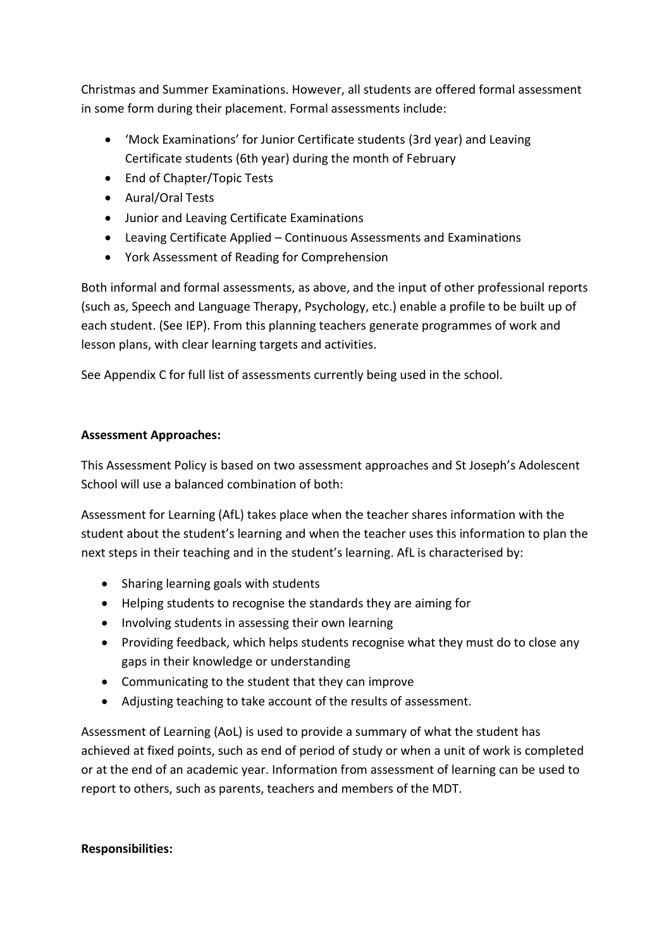Christmas and Summer Examinations. However, all students are offered formal assessment in some form during their placement. Formal assessments include:

- 'Mock Examinations' for Junior Certificate students (3rd year) and Leaving Certificate students (6th year) during the month of February
- End of Chapter/Topic Tests
- Aural/Oral Tests
- Junior and Leaving Certificate Examinations
- Leaving Certificate Applied Continuous Assessments and Examinations
- York Assessment of Reading for Comprehension

Both informal and formal assessments, as above, and the input of other professional reports (such as, Speech and Language Therapy, Psychology, etc.) enable a profile to be built up of each student. (See IEP). From this planning teachers generate programmes of work and lesson plans, with clear learning targets and activities.

See Appendix C for full list of assessments currently being used in the school.

### **Assessment Approaches:**

This Assessment Policy is based on two assessment approaches and St Joseph's Adolescent School will use a balanced combination of both:

Assessment for Learning (AfL) takes place when the teacher shares information with the student about the student's learning and when the teacher uses this information to plan the next steps in their teaching and in the student's learning. AfL is characterised by:

- Sharing learning goals with students
- Helping students to recognise the standards they are aiming for
- Involving students in assessing their own learning
- Providing feedback, which helps students recognise what they must do to close any gaps in their knowledge or understanding
- Communicating to the student that they can improve
- Adjusting teaching to take account of the results of assessment.

Assessment of Learning (AoL) is used to provide a summary of what the student has achieved at fixed points, such as end of period of study or when a unit of work is completed or at the end of an academic year. Information from assessment of learning can be used to report to others, such as parents, teachers and members of the MDT.

### **Responsibilities:**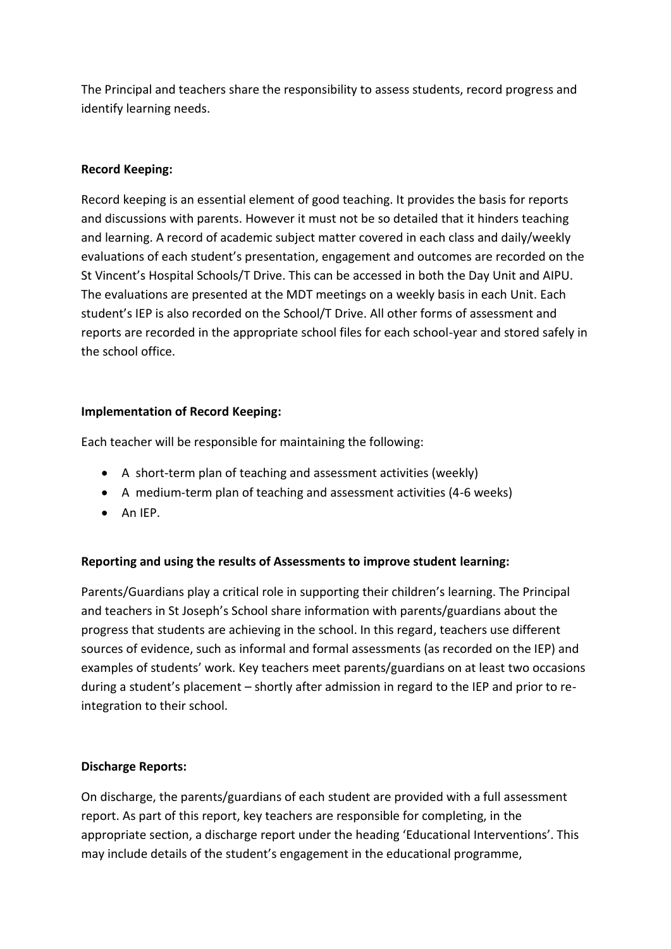The Principal and teachers share the responsibility to assess students, record progress and identify learning needs.

## **Record Keeping:**

Record keeping is an essential element of good teaching. It provides the basis for reports and discussions with parents. However it must not be so detailed that it hinders teaching and learning. A record of academic subject matter covered in each class and daily/weekly evaluations of each student's presentation, engagement and outcomes are recorded on the St Vincent's Hospital Schools/T Drive. This can be accessed in both the Day Unit and AIPU. The evaluations are presented at the MDT meetings on a weekly basis in each Unit. Each student's IEP is also recorded on the School/T Drive. All other forms of assessment and reports are recorded in the appropriate school files for each school-year and stored safely in the school office.

### **Implementation of Record Keeping:**

Each teacher will be responsible for maintaining the following:

- A short-term plan of teaching and assessment activities (weekly)
- A medium-term plan of teaching and assessment activities (4-6 weeks)
- $\bullet$  An IEP.

### **Reporting and using the results of Assessments to improve student learning:**

Parents/Guardians play a critical role in supporting their children's learning. The Principal and teachers in St Joseph's School share information with parents/guardians about the progress that students are achieving in the school. In this regard, teachers use different sources of evidence, such as informal and formal assessments (as recorded on the IEP) and examples of students' work. Key teachers meet parents/guardians on at least two occasions during a student's placement – shortly after admission in regard to the IEP and prior to reintegration to their school.

### **Discharge Reports:**

On discharge, the parents/guardians of each student are provided with a full assessment report. As part of this report, key teachers are responsible for completing, in the appropriate section, a discharge report under the heading 'Educational Interventions'. This may include details of the student's engagement in the educational programme,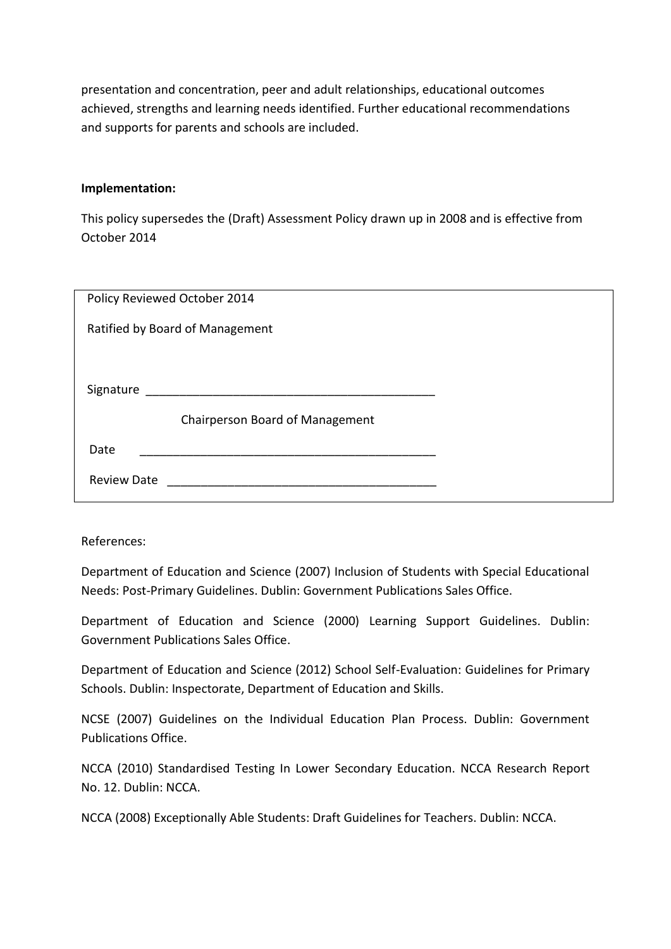presentation and concentration, peer and adult relationships, educational outcomes achieved, strengths and learning needs identified. Further educational recommendations and supports for parents and schools are included.

#### **Implementation:**

This policy supersedes the (Draft) Assessment Policy drawn up in 2008 and is effective from October 2014

| Policy Reviewed October 2014    |  |  |
|---------------------------------|--|--|
| Ratified by Board of Management |  |  |
|                                 |  |  |
| Signature                       |  |  |
| Chairperson Board of Management |  |  |
| Date                            |  |  |
| <b>Review Date</b>              |  |  |

References:

Department of Education and Science (2007) Inclusion of Students with Special Educational Needs: Post-Primary Guidelines. Dublin: Government Publications Sales Office.

Department of Education and Science (2000) Learning Support Guidelines. Dublin: Government Publications Sales Office.

Department of Education and Science (2012) School Self-Evaluation: Guidelines for Primary Schools. Dublin: Inspectorate, Department of Education and Skills.

NCSE (2007) Guidelines on the Individual Education Plan Process. Dublin: Government Publications Office.

NCCA (2010) Standardised Testing In Lower Secondary Education. NCCA Research Report No. 12. Dublin: NCCA.

NCCA (2008) Exceptionally Able Students: Draft Guidelines for Teachers. Dublin: NCCA.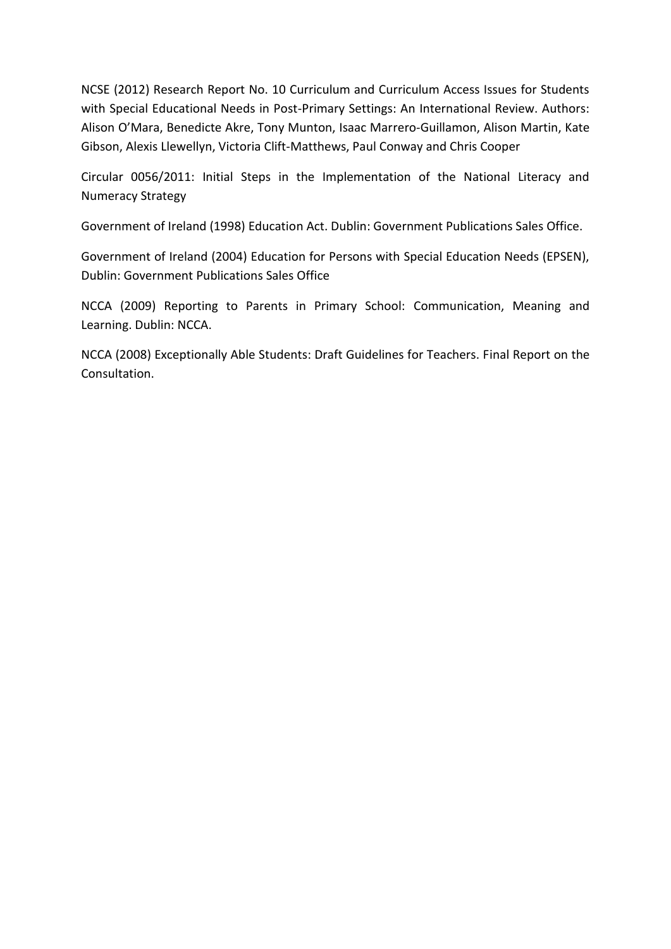NCSE (2012) Research Report No. 10 Curriculum and Curriculum Access Issues for Students with Special Educational Needs in Post-Primary Settings: An International Review. Authors: Alison O'Mara, Benedicte Akre, Tony Munton, Isaac Marrero-Guillamon, Alison Martin, Kate Gibson, Alexis Llewellyn, Victoria Clift-Matthews, Paul Conway and Chris Cooper

Circular 0056/2011: Initial Steps in the Implementation of the National Literacy and Numeracy Strategy

Government of Ireland (1998) Education Act. Dublin: Government Publications Sales Office.

Government of Ireland (2004) Education for Persons with Special Education Needs (EPSEN), Dublin: Government Publications Sales Office

NCCA (2009) Reporting to Parents in Primary School: Communication, Meaning and Learning. Dublin: NCCA.

NCCA (2008) Exceptionally Able Students: Draft Guidelines for Teachers. Final Report on the Consultation.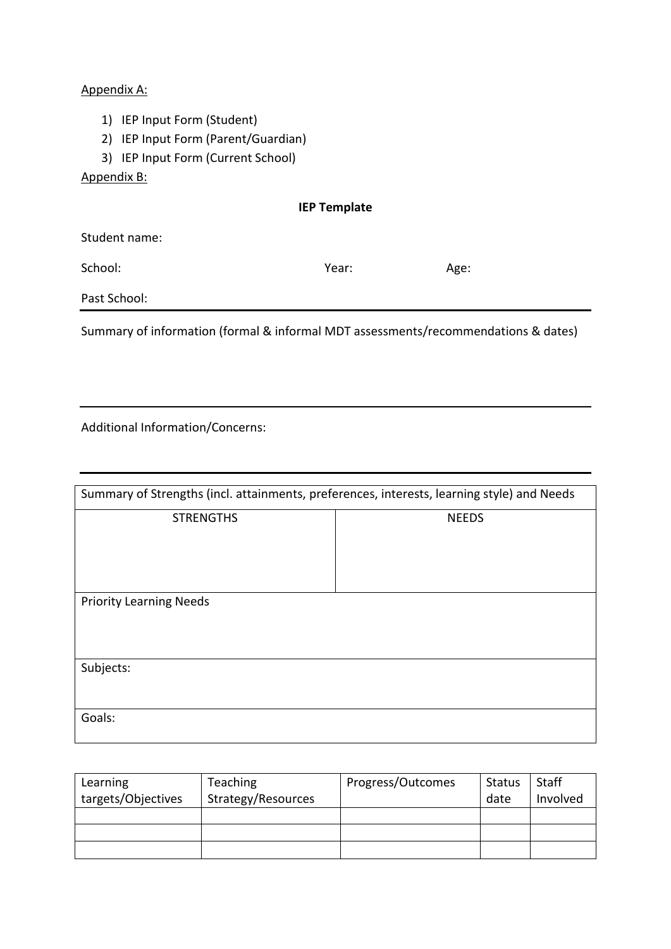#### Appendix A:

- 1) IEP Input Form (Student)
- 2) IEP Input Form (Parent/Guardian)
- 3) IEP Input Form (Current School)

#### Appendix B:

Student name:

School: Year: Age:

Past School:

Summary of information (formal & informal MDT assessments/recommendations & dates)

Additional Information/Concerns:

| Summary of Strengths (incl. attainments, preferences, interests, learning style) and Needs |              |  |
|--------------------------------------------------------------------------------------------|--------------|--|
| <b>STRENGTHS</b>                                                                           | <b>NEEDS</b> |  |
| <b>Priority Learning Needs</b>                                                             |              |  |
| Subjects:                                                                                  |              |  |
| Goals:                                                                                     |              |  |

| Learning           | <b>Teaching</b>    | Progress/Outcomes | <b>Status</b> | <b>Staff</b> |
|--------------------|--------------------|-------------------|---------------|--------------|
| targets/Objectives | Strategy/Resources |                   | date          | Involved     |
|                    |                    |                   |               |              |
|                    |                    |                   |               |              |
|                    |                    |                   |               |              |